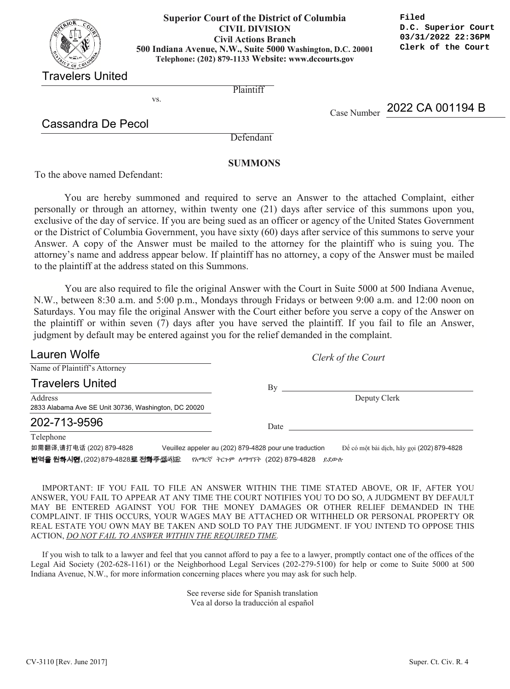| $\Omega$<br>Cotal<br>OF COLUMBY<br>SIRICT. |
|--------------------------------------------|
| Jnite<br>Travelers                         |

## **Washington, D.C. 20001 Telephone: 879-1133 500 Indiana Avenue, N.W., Suite 5000 Washington, D.C. 20001 Superior Court of the District of Columbia CIVIL DIVISION Civil Actions Branch Telephone: (202) 879-1133 Website: www.dccourts.gov**

**Filed D.C. Superior Court 03/31/2022 22:36PM Clerk of the Court**

Travelers United

**Plaintiff** 

Cassandra De Pecol

vs.

Case Number 2022 CA 001194 B

Defendant

## **SUMMONS**

To the above named Defendant:

You are hereby summoned and required to serve an Answer to the attached Complaint, either personally or through an attorney, within twenty one (21) days after service of this summons upon you, exclusive of the day of service. If you are being sued as an officer or agency of the United States Government or the District of Columbia Government, you have sixty (60) days after service of this summons to serve your Answer. A copy of the Answer must be mailed to the attorney for the plaintiff who is suing you. The attorney's name and address appear below. If plaintiff has no attorney, a copy of the Answer must be mailed to the plaintiff at the address stated on this Summons.

You are also required to file the original Answer with the Court in Suite 5000 at 500 Indiana Avenue, N.W., between 8:30 a.m. and 5:00 p.m., Mondays through Fridays or between 9:00 a.m. and 12:00 noon on N.W., between 8:30 a.m. and 5:00 p.m., Mondays through Fridays or between 9:00 a.m. and 12:00 noon on Saturdays. You may file the original Answer with the Court either before you serve a copy of the Answer on Saturdays. You may file the original Answer with the Court either before you serve a copy of the Answer on the plaintiff or within seven (7) days after you have served the plaintiff. If you fail to file an Answer, judgment by default may be entered against you for the relief demanded in the complaint.

| Lauren Wolfe                                                    |  | Clerk of the Court                                     |                                            |
|-----------------------------------------------------------------|--|--------------------------------------------------------|--------------------------------------------|
| Name of Plaintiff's Attorney                                    |  |                                                        |                                            |
| <b>Travelers United</b>                                         |  | Bv                                                     |                                            |
| Address<br>2833 Alabama Ave SE Unit 30736, Washington, DC 20020 |  |                                                        | Deputy Clerk                               |
| 202-713-9596                                                    |  | Date                                                   |                                            |
| Telephone<br>如需翻译,请打电话 (202) 879-4828                           |  | Veuillez appeler au (202) 879-4828 pour une traduction | Để có một bài dịch, hãy gọi (202) 879-4828 |

**번역을 원하시떈,(202) 879-4828로 전화주십씨요 RATC ትርጉም ለማግኘት (202) 879-4828 ይደውሉ** 

ACTION, *DO NOT FAIL TO ANSWER WITHIN THE REQUIRED TIME.* IMPORTANT: IF YOU FAIL TO FILE AN ANSWER WITHIN THE TIME STATED ABOVE, OR IF, AFTER YOU ANSWER, YOU FAIL TO APPEAR AT ANY TIME THE COURT NOTIFIES YOU TO DO SO, A JUDGMENT BY DEFAULT MAY BE ENTERED AGAINST YOU FOR THE MONEY DAMAGES OR OTHER RELIEF DEMANDED IN THE COMPLAINT. IF THIS OCCURS, YOUR WAGES MAY BE ATTACHED OR WITHHELD OR PERSONAL PROPERTY OR REAL ESTATE YOU OWN MAY BE TAKEN AND SOLD TO PAY THE JUDGMENT. IF YOU INTEND TO OPPOSE THIS

If you wish to talk to a lawyer and feel that you cannot afford to pay a fee to a lawyer, promptly contact one of the offices of the Legal Aid Society (202-628-1161) or the Neighborhood Legal Services (202-279-5100) for help or come to Suite 5000 at 500 Indiana Avenue, N.W., for more information concerning places where you may ask for such help.

> See reverse side for Spanish translation Vea al dorso la traducción al español